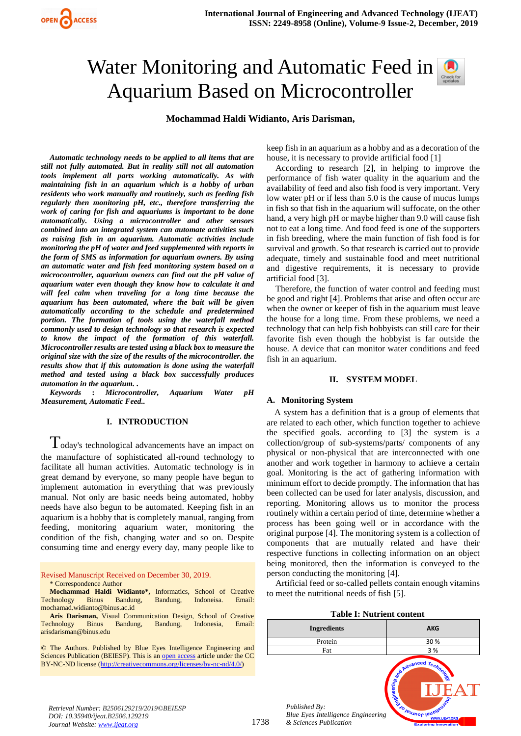# Water Monitoring and Automatic Feed in Aquarium Based on Microcontroller

**Mochammad Haldi Widianto, Aris Darisman,** 

*Automatic technology needs to be applied to all items that are still not fully automated. But in reality still not all automation tools implement all parts working automatically. As with maintaining fish in an aquarium which is a hobby of urban residents who work manually and routinely, such as feeding fish regularly then monitoring pH, etc., therefore transferring the work of caring for fish and aquariums is important to be done automatically. Using a microcontroller and other sensors combined into an integrated system can automate activities such as raising fish in an aquarium. Automatic activities include monitoring the pH of water and feed supplemented with reports in the form of SMS as information for aquarium owners. By using an automatic water and fish feed monitoring system based on a microcontroller, aquarium owners can find out the pH value of aquarium water even though they know how to calculate it and will feel calm when traveling for a long time because the aquarium has been automated, where the bait will be given automatically according to the schedule and predetermined portion. The formation of tools using the waterfall method commonly used to design technology so that research is expected to know the impact of the formation of this waterfall. Microcontroller results are tested using a black box to measure the original size with the size of the results of the microcontroller. the results show that if this automation is done using the waterfall method and tested using a black box successfully produces automation in the aquarium. .*

*Keywords* **:** *Microcontroller, Aquarium Water pH Measurement, Automatic Feed..*

## **I. INTRODUCTION**

Today's technological advancements have an impact on the manufacture of sophisticated all-round technology to facilitate all human activities. Automatic technology is in great demand by everyone, so many people have begun to implement automation in everything that was previously manual. Not only are basic needs being automated, hobby needs have also begun to be automated. Keeping fish in an aquarium is a hobby that is completely manual, ranging from feeding, monitoring aquarium water, monitoring the condition of the fish, changing water and so on. Despite consuming time and energy every day, many people like to

Revised Manuscript Received on December 30, 2019. \* Correspondence Author

**Mochammad Haldi Widianto\*,** Informatics, School of Creative Technology Binus Bandung, Bandung, Indoneisa. Email: [mochamad.widianto@binus.ac.id](mailto:mochamad.widianto@binus.ac.id)

**Aris Darisman,** Visual Communication Design, School of Creative Technology Binus Bandung, Bandung, Indonesia, Email: [arisdarisman@binus.edu](mailto:arisdarisman@binus.edu)

© The Authors. Published by Blue Eyes Intelligence Engineering and Sciences Publication (BEIESP). This is a[n open access](https://www.openaccess.nl/en/open-publications) article under the CC BY-NC-ND license [\(http://creativecommons.org/licenses/by-nc-nd/4.0/\)](http://creativecommons.org/licenses/by-nc-nd/4.0/)

keep fish in an aquarium as a hobby and as a decoration of the house, it is necessary to provide artificial food [1]

According to research [2], in helping to improve the performance of fish water quality in the aquarium and the availability of feed and also fish food is very important. Very low water pH or if less than 5.0 is the cause of mucus lumps in fish so that fish in the aquarium will suffocate, on the other hand, a very high pH or maybe higher than 9.0 will cause fish not to eat a long time. And food feed is one of the supporters in fish breeding, where the main function of fish food is for survival and growth. So that research is carried out to provide adequate, timely and sustainable food and meet nutritional and digestive requirements, it is necessary to provide artificial food [3].

Therefore, the function of water control and feeding must be good and right [4]. Problems that arise and often occur are when the owner or keeper of fish in the aquarium must leave the house for a long time. From these problems, we need a technology that can help fish hobbyists can still care for their favorite fish even though the hobbyist is far outside the house. A device that can monitor water conditions and feed fish in an aquarium.

## **II. SYSTEM MODEL**

## **A. Monitoring System**

A system has a definition that is a group of elements that are related to each other, which function together to achieve the specified goals. according to [3] the system is a collection/group of sub-systems/parts/ components of any physical or non-physical that are interconnected with one another and work together in harmony to achieve a certain goal. Monitoring is the act of gathering information with minimum effort to decide promptly. The information that has been collected can be used for later analysis, discussion, and reporting. Monitoring allows us to monitor the process routinely within a certain period of time, determine whether a process has been going well or in accordance with the original purpose [4]. The monitoring system is a collection of components that are mutually related and have their respective functions in collecting information on an object being monitored, then the information is conveyed to the person conducting the monitoring [4].

Artificial feed or so-called pellets contain enough vitamins to meet the nutritional needs of fish [5].

**Table I: Nutrient content**



*Retrieval Number: B2506129219/2019©BEIESP DOI: 10.35940/ijeat.B2506.129219 Journal Website[: www.ijeat.org](http://www.ijeat.org/)*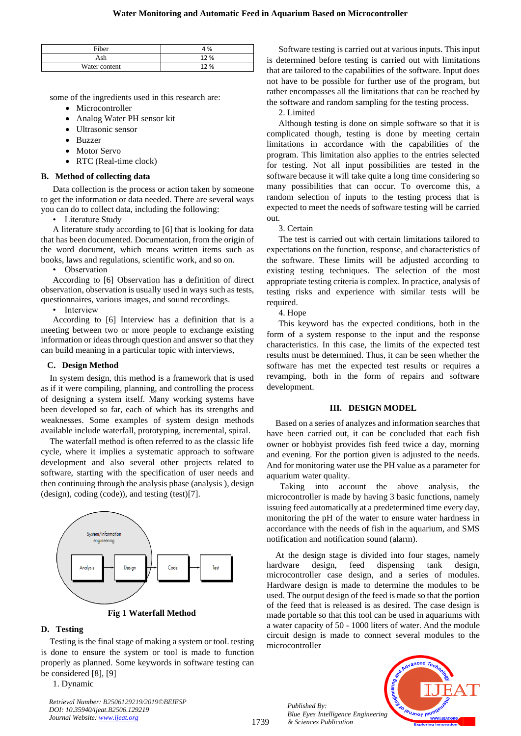| Fiber         | 4 %  |
|---------------|------|
| 1 ch          | 12 % |
| Water content | 12%  |

some of the ingredients used in this research are:

- Microcontroller
- Analog Water PH sensor kit
- Ultrasonic sensor
- Buzzer
- Motor Servo
- RTC (Real-time clock)

## **B. Method of collecting data**

Data collection is the process or action taken by someone to get the information or data needed. There are several ways you can do to collect data, including the following:

• Literature Study

A literature study according to [6] that is looking for data that has been documented. Documentation, from the origin of the word document, which means written items such as books, laws and regulations, scientific work, and so on.

• Observation

According to [6] Observation has a definition of direct observation, observation is usually used in ways such as tests, questionnaires, various images, and sound recordings.

• Interview

According to [6] Interview has a definition that is a meeting between two or more people to exchange existing information or ideas through question and answer so that they can build meaning in a particular topic with interviews,

## **C. Design Method**

In system design, this method is a framework that is used as if it were compiling, planning, and controlling the process of designing a system itself. Many working systems have been developed so far, each of which has its strengths and weaknesses. Some examples of system design methods available include waterfall, prototyping, incremental, spiral.

The waterfall method is often referred to as the classic life cycle, where it implies a systematic approach to software development and also several other projects related to software, starting with the specification of user needs and then continuing through the analysis phase (analysis ), design (design), coding (code)), and testing (test)[7].



## **Fig 1 Waterfall Method**

## **D. Testing**

Testing is the final stage of making a system or tool. testing is done to ensure the system or tool is made to function properly as planned. Some keywords in software testing can be considered [8], [9]

1. Dynamic

*Retrieval Number: B2506129219/2019©BEIESP DOI: 10.35940/ijeat.B2506.129219 Journal Website[: www.ijeat.org](http://www.ijeat.org/)*

Software testing is carried out at various inputs. This input is determined before testing is carried out with limitations that are tailored to the capabilities of the software. Input does not have to be possible for further use of the program, but rather encompasses all the limitations that can be reached by the software and random sampling for the testing process.

2. Limited

Although testing is done on simple software so that it is complicated though, testing is done by meeting certain limitations in accordance with the capabilities of the program. This limitation also applies to the entries selected for testing. Not all input possibilities are tested in the software because it will take quite a long time considering so many possibilities that can occur. To overcome this, a random selection of inputs to the testing process that is expected to meet the needs of software testing will be carried out.

3. Certain

The test is carried out with certain limitations tailored to expectations on the function, response, and characteristics of the software. These limits will be adjusted according to existing testing techniques. The selection of the most appropriate testing criteria is complex. In practice, analysis of testing risks and experience with similar tests will be required.

4. Hope

This keyword has the expected conditions, both in the form of a system response to the input and the response characteristics. In this case, the limits of the expected test results must be determined. Thus, it can be seen whether the software has met the expected test results or requires a revamping, both in the form of repairs and software development.

## **III. DESIGN MODEL**

Based on a series of analyzes and information searches that have been carried out, it can be concluded that each fish owner or hobbyist provides fish feed twice a day, morning and evening. For the portion given is adjusted to the needs. And for monitoring water use the PH value as a parameter for aquarium water quality.

 Taking into account the above analysis, the microcontroller is made by having 3 basic functions, namely issuing feed automatically at a predetermined time every day, monitoring the pH of the water to ensure water hardness in accordance with the needs of fish in the aquarium, and SMS notification and notification sound (alarm).

At the design stage is divided into four stages, namely hardware design, feed dispensing tank design, microcontroller case design, and a series of modules. Hardware design is made to determine the modules to be used. The output design of the feed is made so that the portion of the feed that is released is as desired. The case design is made portable so that this tool can be used in aquariums with a water capacity of 50 - 1000 liters of water. And the module circuit design is made to connect several modules to the microcontroller

*Published By: Blue Eyes Intelligence Engineering & Sciences Publication* 

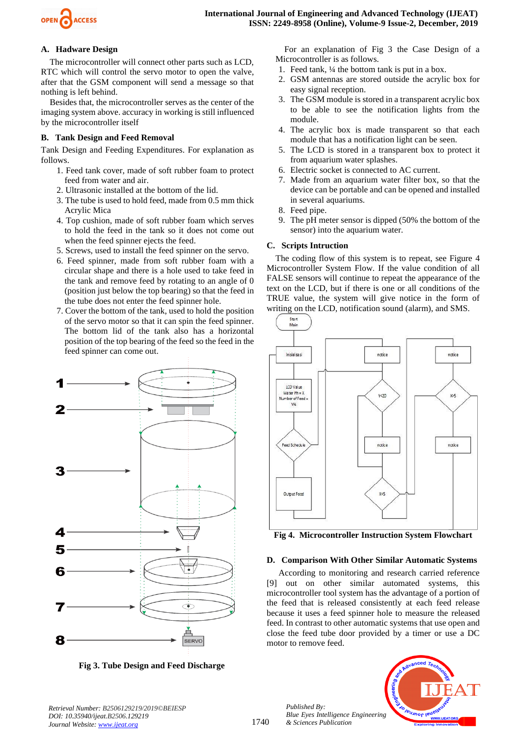

# **A. Hadware Design**

The microcontroller will connect other parts such as LCD, RTC which will control the servo motor to open the valve, after that the GSM component will send a message so that nothing is left behind.

Besides that, the microcontroller serves as the center of the imaging system above. accuracy in working is still influenced by the microcontroller itself

# **B. Tank Design and Feed Removal**

Tank Design and Feeding Expenditures. For explanation as follows.

- 1. Feed tank cover, made of soft rubber foam to protect feed from water and air.
- 2. Ultrasonic installed at the bottom of the lid.
- 3. The tube is used to hold feed, made from 0.5 mm thick Acrylic Mica
- 4. Top cushion, made of soft rubber foam which serves to hold the feed in the tank so it does not come out when the feed spinner ejects the feed.
- 5. Screws, used to install the feed spinner on the servo.
- 6. Feed spinner, made from soft rubber foam with a circular shape and there is a hole used to take feed in the tank and remove feed by rotating to an angle of 0 (position just below the top bearing) so that the feed in the tube does not enter the feed spinner hole.
- 7. Cover the bottom of the tank, used to hold the position of the servo motor so that it can spin the feed spinner. The bottom lid of the tank also has a horizontal position of the top bearing of the feed so the feed in the feed spinner can come out.



**Fig 3. Tube Design and Feed Discharge**

For an explanation of Fig 3 the Case Design of a Microcontroller is as follows.

- 1. Feed tank, ¼ the bottom tank is put in a box.
- 2. GSM antennas are stored outside the acrylic box for easy signal reception.
- 3. The GSM module is stored in a transparent acrylic box to be able to see the notification lights from the module.
- 4. The acrylic box is made transparent so that each module that has a notification light can be seen.
- 5. The LCD is stored in a transparent box to protect it from aquarium water splashes.
- 6. Electric socket is connected to AC current.
- 7. Made from an aquarium water filter box, so that the device can be portable and can be opened and installed in several aquariums.
- 8. Feed pipe.
- 9. The pH meter sensor is dipped (50% the bottom of the sensor) into the aquarium water.

# **C. Scripts Intruction**

The coding flow of this system is to repeat, see Figure 4 Microcontroller System Flow. If the value condition of all FALSE sensors will continue to repeat the appearance of the text on the LCD, but if there is one or all conditions of the TRUE value, the system will give notice in the form of writing on the LCD, notification sound (alarm), and SMS.



**Fig 4. Microcontroller Instruction System Flowchart**

## **D. Comparison With Other Similar Automatic Systems**

According to monitoring and research carried reference [9] out on other similar automated systems, this microcontroller tool system has the advantage of a portion of the feed that is released consistently at each feed release because it uses a feed spinner hole to measure the released feed. In contrast to other automatic systems that use open and close the feed tube door provided by a timer or use a DC motor to remove feed.



*Retrieval Number: B2506129219/2019©BEIESP DOI: 10.35940/ijeat.B2506.129219 Journal Website[: www.ijeat.org](http://www.ijeat.org/)*

*Published By:*

*& Sciences Publication*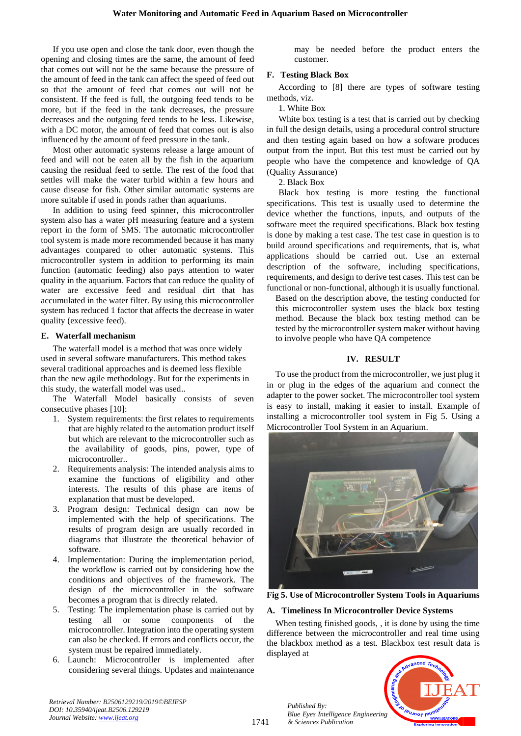If you use open and close the tank door, even though the opening and closing times are the same, the amount of feed that comes out will not be the same because the pressure of the amount of feed in the tank can affect the speed of feed out so that the amount of feed that comes out will not be consistent. If the feed is full, the outgoing feed tends to be more, but if the feed in the tank decreases, the pressure decreases and the outgoing feed tends to be less. Likewise, with a DC motor, the amount of feed that comes out is also influenced by the amount of feed pressure in the tank.

Most other automatic systems release a large amount of feed and will not be eaten all by the fish in the aquarium causing the residual feed to settle. The rest of the food that settles will make the water turbid within a few hours and cause disease for fish. Other similar automatic systems are more suitable if used in ponds rather than aquariums.

In addition to using feed spinner, this microcontroller system also has a water pH measuring feature and a system report in the form of SMS. The automatic microcontroller tool system is made more recommended because it has many advantages compared to other automatic systems. This microcontroller system in addition to performing its main function (automatic feeding) also pays attention to water quality in the aquarium. Factors that can reduce the quality of water are excessive feed and residual dirt that has accumulated in the water filter. By using this microcontroller system has reduced 1 factor that affects the decrease in water quality (excessive feed).

## **E. Waterfall mechanism**

The waterfall model is a method that was once widely used in several software manufacturers. This method takes several traditional approaches and is deemed less flexible than the new agile methodology. But for the experiments in this study, the waterfall model was used..

The Waterfall Model basically consists of seven consecutive phases [10]:

- 1. System requirements: the first relates to requirements that are highly related to the automation product itself but which are relevant to the microcontroller such as the availability of goods, pins, power, type of microcontroller..
- 2. Requirements analysis: The intended analysis aims to examine the functions of eligibility and other interests. The results of this phase are items of explanation that must be developed.
- 3. Program design: Technical design can now be implemented with the help of specifications. The results of program design are usually recorded in diagrams that illustrate the theoretical behavior of software.
- 4. Implementation: During the implementation period, the workflow is carried out by considering how the conditions and objectives of the framework. The design of the microcontroller in the software becomes a program that is directly related.
- 5. Testing: The implementation phase is carried out by testing all or some components of the microcontroller. Integration into the operating system can also be checked. If errors and conflicts occur, the system must be repaired immediately.
- 6. Launch: Microcontroller is implemented after considering several things. Updates and maintenance

may be needed before the product enters the customer.

# **F. Testing Black Box**

According to [8] there are types of software testing methods, viz.

1. White Box

White box testing is a test that is carried out by checking in full the design details, using a procedural control structure and then testing again based on how a software produces output from the input. But this test must be carried out by people who have the competence and knowledge of QA (Quality Assurance)

2. Black Box

Black box testing is more testing the functional specifications. This test is usually used to determine the device whether the functions, inputs, and outputs of the software meet the required specifications. Black box testing is done by making a test case. The test case in question is to build around specifications and requirements, that is, what applications should be carried out. Use an external description of the software, including specifications, requirements, and design to derive test cases. This test can be functional or non-functional, although it is usually functional.

Based on the description above, the testing conducted for this microcontroller system uses the black box testing method. Because the black box testing method can be tested by the microcontroller system maker without having to involve people who have QA competence

# **IV. RESULT**

To use the product from the microcontroller, we just plug it in or plug in the edges of the aquarium and connect the adapter to the power socket. The microcontroller tool system is easy to install, making it easier to install. Example of installing a microcontroller tool system in Fig 5. Using a Microcontroller Tool System in an Aquarium.



**Fig 5. Use of Microcontroller System Tools in Aquariums**

## **A. Timeliness In Microcontroller Device Systems**

When testing finished goods, , it is done by using the time difference between the microcontroller and real time using the blackbox method as a test. Blackbox test result data is displayed at



*Retrieval Number: B2506129219/2019©BEIESP DOI: 10.35940/ijeat.B2506.129219 Journal Website[: www.ijeat.org](http://www.ijeat.org/)*

*Published By:*

*& Sciences Publication*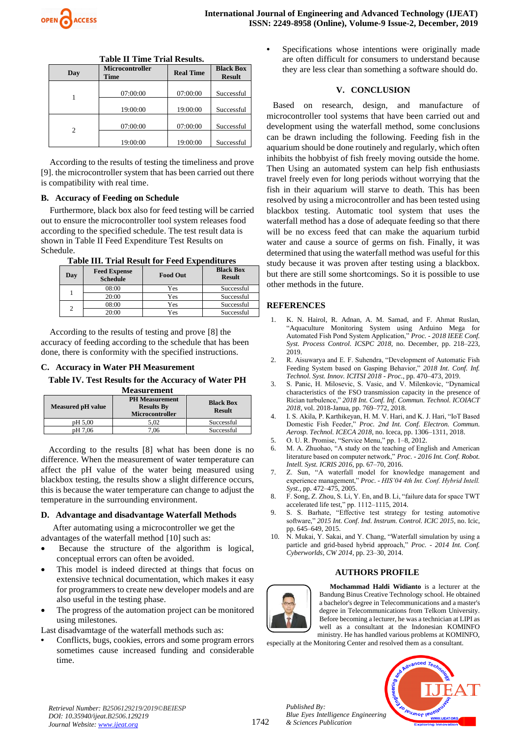

| Tudic II Thing Timi Incomedi |                                |                  |                                   |
|------------------------------|--------------------------------|------------------|-----------------------------------|
| Day                          | <b>Microcontroller</b><br>Time | <b>Real Time</b> | <b>Black Box</b><br><b>Result</b> |
|                              | 07:00:00                       | 07:00:00         | Successful                        |
|                              | 19:00:00                       | 19:00:00         | Successful                        |
|                              | 07:00:00                       | 07:00:00         | Successful                        |
| 2                            | 19:00:00                       | 19:00:00         | Successful                        |

| <b>Table II Time Trial Results.</b> |  |  |  |
|-------------------------------------|--|--|--|
|-------------------------------------|--|--|--|

According to the results of testing the timeliness and prove [9]. the microcontroller system that has been carried out there is compatibility with real time.

## **B. Accuracy of Feeding on Schedule**

Furthermore, black box also for feed testing will be carried out to ensure the microcontroller tool system releases food according to the specified schedule. The test result data is shown in Table II Feed Expenditure Test Results on Schedule.

## **Table III. Trial Result for Feed Expenditures**

| Day | <b>Feed Expense</b><br><b>Schedule</b> | <b>Food Out</b> | <b>Black Box</b><br><b>Result</b> |
|-----|----------------------------------------|-----------------|-----------------------------------|
|     | 08:00                                  | Yes             | Successful                        |
|     | 20:00                                  | Yes             | Successful                        |
| າ   | 08:00                                  | Yes             | Successful                        |
|     | 20:00                                  | Yes             | Successful                        |

According to the results of testing and prove [8] the accuracy of feeding according to the schedule that has been done, there is conformity with the specified instructions.

#### **C. Accuracy in Water PH Measurement**

**Table IV. Test Results for the Accuracy of Water PH** 

| <b>Measurement</b>       |                                                                      |                                   |  |
|--------------------------|----------------------------------------------------------------------|-----------------------------------|--|
| <b>Measured pH value</b> | <b>PH</b> Measurement<br><b>Results By</b><br><b>Microcontroller</b> | <b>Black Box</b><br><b>Result</b> |  |
| pH 5.00                  | 5.02                                                                 | Successful                        |  |
| pH 7,06                  | 7.06                                                                 | Successful                        |  |

According to the results [8] what has been done is no difference. When the measurement of water temperature can affect the pH value of the water being measured using blackbox testing, the results show a slight difference occurs, this is because the water temperature can change to adjust the temperature in the surrounding environment.

#### **D. Advantage and disadvantage Waterfall Methods**

After automating using a microcontroller we get the advantages of the waterfall method [10] such as:

- Because the structure of the algorithm is logical, conceptual errors can often be avoided.
- This model is indeed directed at things that focus on extensive technical documentation, which makes it easy for programmers to create new developer models and are also useful in the testing phase.
- The progress of the automation project can be monitored using milestones.

Last disadvamtage of the waterfall methods such as:

**•** Conflicts, bugs, cookies, errors and some program errors sometimes cause increased funding and considerable time.

**•** Specifications whose intentions were originally made are often difficult for consumers to understand because they are less clear than something a software should do.

## **V. CONCLUSION**

Based on research, design, and manufacture of microcontroller tool systems that have been carried out and development using the waterfall method, some conclusions can be drawn including the following. Feeding fish in the aquarium should be done routinely and regularly, which often inhibits the hobbyist of fish freely moving outside the home. Then Using an automated system can help fish enthusiasts travel freely even for long periods without worrying that the fish in their aquarium will starve to death. This has been resolved by using a microcontroller and has been tested using blackbox testing. Automatic tool system that uses the waterfall method has a dose of adequate feeding so that there will be no excess feed that can make the aquarium turbid water and cause a source of germs on fish. Finally, it was determined that using the waterfall method was useful for this study because it was proven after testing using a blackbox. but there are still some shortcomings. So it is possible to use other methods in the future.

## **REFERENCES**

- 1. K. N. Hairol, R. Adnan, A. M. Samad, and F. Ahmat Ruslan, "Aquaculture Monitoring System using Arduino Mega for Automated Fish Pond System Application," *Proc. - 2018 IEEE Conf. Syst. Process Control. ICSPC 2018*, no. December, pp. 218–223, 2019.
- 2. R. Aisuwarya and E. F. Suhendra, "Development of Automatic Fish Feeding System based on Gasping Behavior," *2018 Int. Conf. Inf. Technol. Syst. Innov. ICITSI 2018 - Proc.*, pp. 470–473, 2019.
- 3. S. Panic, H. Milosevic, S. Vasic, and V. Milenkovic, "Dynamical characteristics of the FSO transmission capacity in the presence of Rician turbulence," *2018 Int. Conf. Inf. Commun. Technol. ICOIACT 2018*, vol. 2018-Janua, pp. 769–772, 2018.
- 4. I. S. Akila, P. Karthikeyan, H. M. V. Hari, and K. J. Hari, "IoT Based Domestic Fish Feeder," *Proc. 2nd Int. Conf. Electron. Commun. Aerosp. Technol. ICECA 2018*, no. Iceca, pp. 1306–1311, 2018.
- 5. O. U. R. Promise, "Service Menu," pp. 1–8, 2012.
- 6. M. A. Zhuohao, "A study on the teaching of English and American literature based on computer network," *Proc. - 2016 Int. Conf. Robot. Intell. Syst. ICRIS 2016*, pp. 67–70, 2016.
- 7. Z. Sun, "A waterfall model for knowledge management and experience management," *Proc. - HIS'04 4th Int. Conf. Hybrid Intell. Syst.*, pp. 472–475, 2005.
- 8. F. Song, Z. Zhou, S. Li, Y. En, and B. Li, "failure data for space TWT accelerated life test," pp. 1112–1115, 2014.
- S. S. Barhate, "Effective test strategy for testing automotive software," *2015 Int. Conf. Ind. Instrum. Control. ICIC 2015*, no. Icic, pp. 645–649, 2015.
- 10. N. Mukai, Y. Sakai, and Y. Chang, "Waterfall simulation by using a particle and grid-based hybrid approach," *Proc. - 2014 Int. Conf. Cyberworlds, CW 2014*, pp. 23–30, 2014.

## **AUTHORS PROFILE**



*Published By:*

*& Sciences Publication* 

**Mochammad Haldi Widianto** is a lecturer at the Bandung Binus Creative Technology school. He obtained a bachelor's degree in Telecommunications and a master's degree in Telecommunications from Telkom University. Before becoming a lecturer, he was a technician at LIPI as well as a consultant at the Indonesian KOMINFO ministry. He has handled various problems at KOMINFO,

especially at the Monitoring Center and resolved them as a consultant.



*Retrieval Number: B2506129219/2019©BEIESP DOI: 10.35940/ijeat.B2506.129219 Journal Website[: www.ijeat.org](http://www.ijeat.org/)*